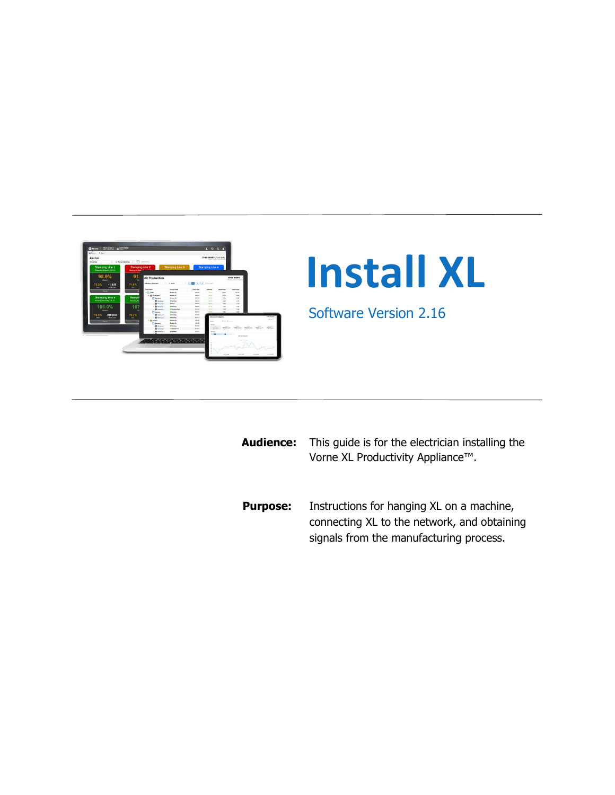

| <b>Audience:</b> | This quide is for the electrician installing the<br>Vorne XL Productivity Appliance™.    |
|------------------|------------------------------------------------------------------------------------------|
| <b>Purpose:</b>  | Instructions for hanging XL on a machine,<br>connecting XL to the network, and obtaining |

signals from the manufacturing process.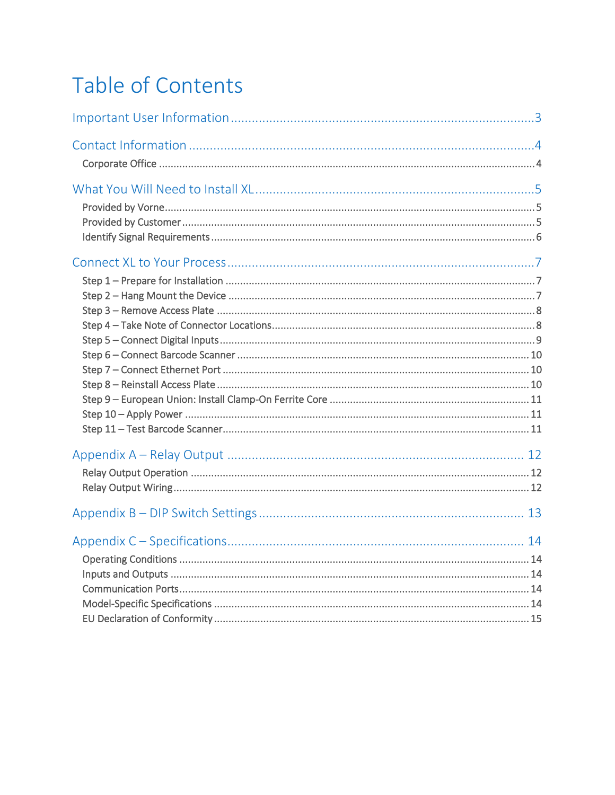# Table of Contents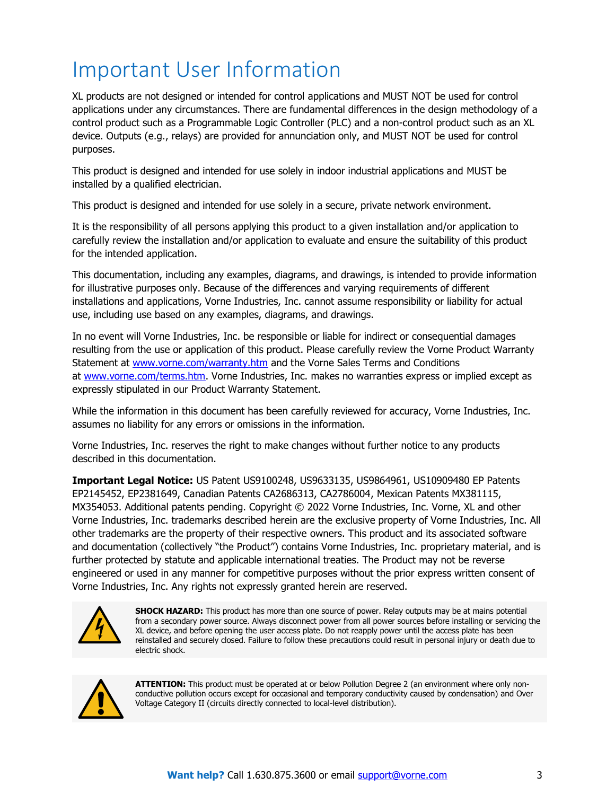# <span id="page-2-0"></span>Important User Information

XL products are not designed or intended for control applications and MUST NOT be used for control applications under any circumstances. There are fundamental differences in the design methodology of a control product such as a Programmable Logic Controller (PLC) and a non-control product such as an XL device. Outputs (e.g., relays) are provided for annunciation only, and MUST NOT be used for control purposes.

This product is designed and intended for use solely in indoor industrial applications and MUST be installed by a qualified electrician.

This product is designed and intended for use solely in a secure, private network environment.

It is the responsibility of all persons applying this product to a given installation and/or application to carefully review the installation and/or application to evaluate and ensure the suitability of this product for the intended application.

This documentation, including any examples, diagrams, and drawings, is intended to provide information for illustrative purposes only. Because of the differences and varying requirements of different installations and applications, Vorne Industries, Inc. cannot assume responsibility or liability for actual use, including use based on any examples, diagrams, and drawings.

In no event will Vorne Industries, Inc. be responsible or liable for indirect or consequential damages resulting from the use or application of this product. Please carefully review the Vorne Product Warranty Statement at [www.vorne.com/warranty.htm](https://www.vorne.com/warranty.htm) and the Vorne Sales Terms and Conditions at [www.vorne.com/terms.htm.](https://www.vorne.com/terms.htm) Vorne Industries, Inc. makes no warranties express or implied except as expressly stipulated in our Product Warranty Statement.

While the information in this document has been carefully reviewed for accuracy, Vorne Industries, Inc. assumes no liability for any errors or omissions in the information.

Vorne Industries, Inc. reserves the right to make changes without further notice to any products described in this documentation.

**Important Legal Notice:** US Patent US9100248, US9633135, US9864961, US10909480 EP Patents EP2145452, EP2381649, Canadian Patents CA2686313, CA2786004, Mexican Patents MX381115, MX354053. Additional patents pending. Copyright © 2022 Vorne Industries, Inc. Vorne, XL and other Vorne Industries, Inc. trademarks described herein are the exclusive property of Vorne Industries, Inc. All other trademarks are the property of their respective owners. This product and its associated software and documentation (collectively "the Product") contains Vorne Industries, Inc. proprietary material, and is further protected by statute and applicable international treaties. The Product may not be reverse engineered or used in any manner for competitive purposes without the prior express written consent of Vorne Industries, Inc. Any rights not expressly granted herein are reserved.



**SHOCK HAZARD:** This product has more than one source of power. Relay outputs may be at mains potential from a secondary power source. Always disconnect power from all power sources before installing or servicing the XL device, and before opening the user access plate. Do not reapply power until the access plate has been reinstalled and securely closed. Failure to follow these precautions could result in personal injury or death due to electric shock.



**ATTENTION:** This product must be operated at or below Pollution Degree 2 (an environment where only nonconductive pollution occurs except for occasional and temporary conductivity caused by condensation) and Over Voltage Category II (circuits directly connected to local-level distribution).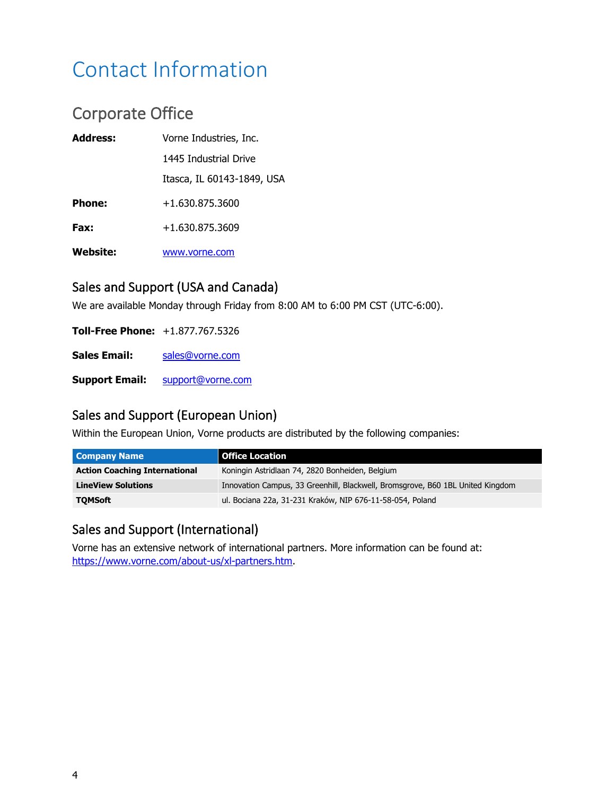# <span id="page-3-0"></span>Contact Information

## <span id="page-3-1"></span>Corporate Office

| <b>Address:</b> | Vorne Industries, Inc.     |
|-----------------|----------------------------|
|                 | 1445 Industrial Drive      |
|                 | Itasca, IL 60143-1849, USA |
| <b>Phone:</b>   | +1.630.875.3600            |
| Fax:            | +1.630.875.3609            |
| <b>Website:</b> | www.vorne.com              |

#### Sales and Support (USA and Canada)

We are available Monday through Friday from 8:00 AM to 6:00 PM CST (UTC-6:00).

**Toll-Free Phone:** +1.877.767.5326 **Sales Email:** [sales@vorne.com](mailto:sales@vorne.com)

**Support Email:** [support@vorne.com](mailto:support@vorne.com)

#### Sales and Support (European Union)

Within the European Union, Vorne products are distributed by the following companies:

| <b>Company Name</b>                  | l Office Location                                                              |
|--------------------------------------|--------------------------------------------------------------------------------|
| <b>Action Coaching International</b> | Koningin Astridlaan 74, 2820 Bonheiden, Belgium                                |
| <b>LineView Solutions</b>            | Innovation Campus, 33 Greenhill, Blackwell, Bromsgrove, B60 1BL United Kingdom |
| <b>TOMSoft</b>                       | ul. Bociana 22a, 31-231 Kraków, NIP 676-11-58-054, Poland                      |

#### Sales and Support (International)

Vorne has an extensive network of international partners. More information can be found at: [https://www.vorne.com/about-us/xl-partners.htm.](https://www.vorne.com/about-us/xl-partners.htm)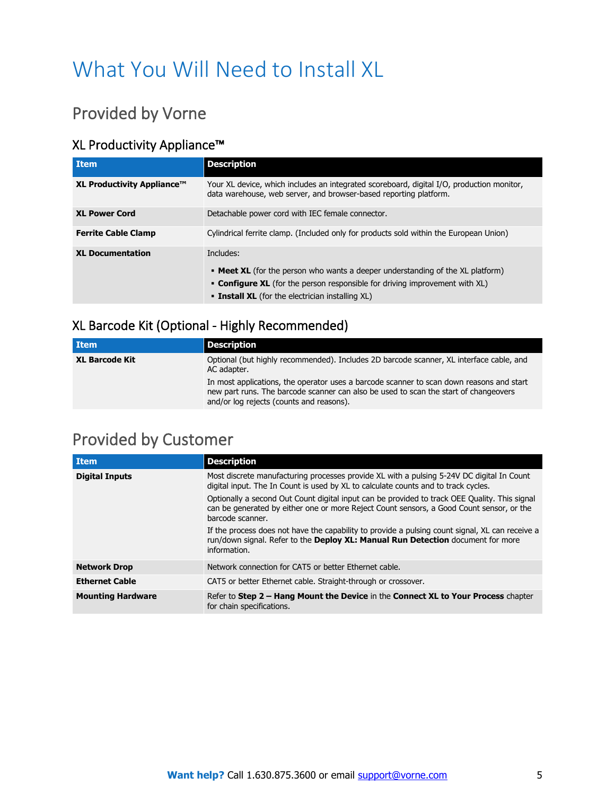# <span id="page-4-0"></span>What You Will Need to Install XL

## <span id="page-4-1"></span>Provided by Vorne

#### XL Productivity Appliance™

| <b>Item</b>                | <b>Description</b>                                                                                                                                                                                                                                       |
|----------------------------|----------------------------------------------------------------------------------------------------------------------------------------------------------------------------------------------------------------------------------------------------------|
| XL Productivity Appliance™ | Your XL device, which includes an integrated scoreboard, digital I/O, production monitor,<br>data warehouse, web server, and browser-based reporting platform.                                                                                           |
| <b>XL Power Cord</b>       | Detachable power cord with IEC female connector.                                                                                                                                                                                                         |
| <b>Ferrite Cable Clamp</b> | Cylindrical ferrite clamp. (Included only for products sold within the European Union)                                                                                                                                                                   |
| <b>XL Documentation</b>    | Includes:<br><b>• Meet XL</b> (for the person who wants a deeper understanding of the XL platform)<br><b>Configure XL</b> (for the person responsible for driving improvement with XL)<br><b>Example:</b> Install XL (for the electrician installing XL) |

#### XL Barcode Kit (Optional - Highly Recommended)

| l Item                | <b>Description</b>                                                                                                                                                                                                           |
|-----------------------|------------------------------------------------------------------------------------------------------------------------------------------------------------------------------------------------------------------------------|
| <b>XL Barcode Kit</b> | Optional (but highly recommended). Includes 2D barcode scanner, XL interface cable, and<br>AC adapter.                                                                                                                       |
|                       | In most applications, the operator uses a barcode scanner to scan down reasons and start<br>new part runs. The barcode scanner can also be used to scan the start of changeovers<br>and/or log rejects (counts and reasons). |

## <span id="page-4-2"></span>Provided by Customer

| <b>Item</b>              | <b>Description</b>                                                                                                                                                                                            |  |  |  |  |
|--------------------------|---------------------------------------------------------------------------------------------------------------------------------------------------------------------------------------------------------------|--|--|--|--|
| <b>Digital Inputs</b>    | Most discrete manufacturing processes provide XL with a pulsing 5-24V DC digital In Count<br>digital input. The In Count is used by XL to calculate counts and to track cycles.                               |  |  |  |  |
|                          | Optionally a second Out Count digital input can be provided to track OEE Quality. This signal<br>can be generated by either one or more Reject Count sensors, a Good Count sensor, or the<br>barcode scanner. |  |  |  |  |
|                          | If the process does not have the capability to provide a pulsing count signal, XL can receive a<br>run/down signal. Refer to the <b>Deploy XL: Manual Run Detection</b> document for more<br>information.     |  |  |  |  |
| <b>Network Drop</b>      | Network connection for CAT5 or better Ethernet cable.                                                                                                                                                         |  |  |  |  |
| <b>Ethernet Cable</b>    | CAT5 or better Ethernet cable. Straight-through or crossover.                                                                                                                                                 |  |  |  |  |
| <b>Mounting Hardware</b> | Refer to Step 2 - Hang Mount the Device in the Connect XL to Your Process chapter<br>for chain specifications.                                                                                                |  |  |  |  |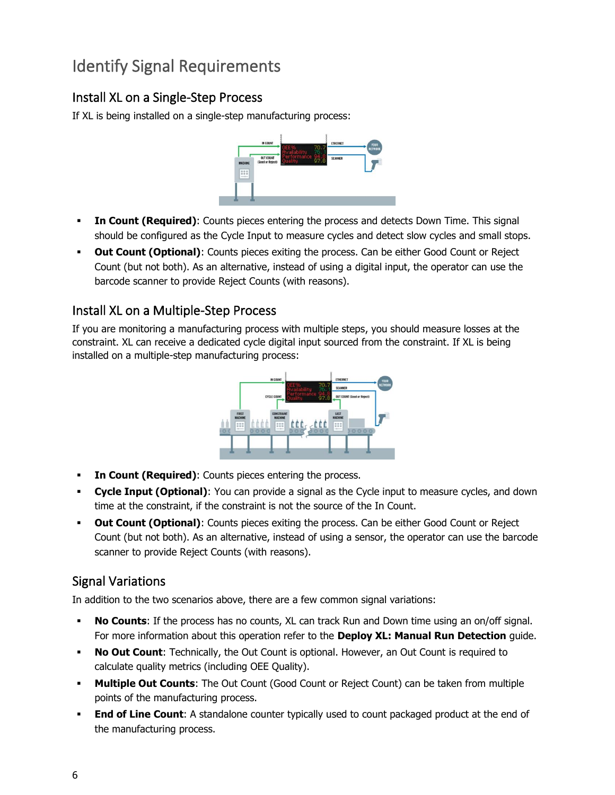## <span id="page-5-0"></span>Identify Signal Requirements

#### Install XL on a Single-Step Process

If XL is being installed on a single-step manufacturing process:



- **In Count (Required)**: Counts pieces entering the process and detects Down Time. This signal should be configured as the Cycle Input to measure cycles and detect slow cycles and small stops.
- **Out Count (Optional)**: Counts pieces exiting the process. Can be either Good Count or Reject Count (but not both). As an alternative, instead of using a digital input, the operator can use the barcode scanner to provide Reject Counts (with reasons).

#### Install XL on a Multiple-Step Process

If you are monitoring a manufacturing process with multiple steps, you should measure losses at the constraint. XL can receive a dedicated cycle digital input sourced from the constraint. If XL is being installed on a multiple-step manufacturing process:



- **In Count (Required)**: Counts pieces entering the process.
- **Cycle Input (Optional)**: You can provide a signal as the Cycle input to measure cycles, and down time at the constraint, if the constraint is not the source of the In Count.
- **Out Count (Optional):** Counts pieces exiting the process. Can be either Good Count or Reject Count (but not both). As an alternative, instead of using a sensor, the operator can use the barcode scanner to provide Reject Counts (with reasons).

#### Signal Variations

In addition to the two scenarios above, there are a few common signal variations:

- **No Counts**: If the process has no counts, XL can track Run and Down time using an on/off signal. For more information about this operation refer to the **Deploy XL: Manual Run Detection** guide.
- **No Out Count**: Technically, the Out Count is optional. However, an Out Count is required to calculate quality metrics (including OEE Quality).
- **Multiple Out Counts:** The Out Count (Good Count or Reject Count) can be taken from multiple points of the manufacturing process.
- **End of Line Count:** A standalone counter typically used to count packaged product at the end of the manufacturing process.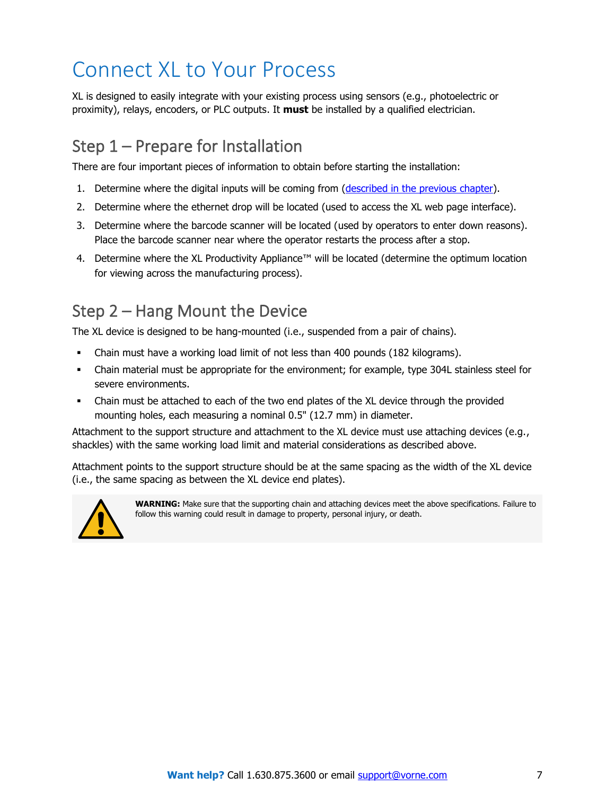# <span id="page-6-0"></span>Connect XL to Your Process

XL is designed to easily integrate with your existing process using sensors (e.g., photoelectric or proximity), relays, encoders, or PLC outputs. It **must** be installed by a qualified electrician.

## <span id="page-6-1"></span>Step 1 – Prepare for Installation

There are four important pieces of information to obtain before starting the installation:

- 1. Determine where the digital inputs will be coming from [\(described in the previous chapter\)](#page-5-0).
- 2. Determine where the ethernet drop will be located (used to access the XL web page interface).
- 3. Determine where the barcode scanner will be located (used by operators to enter down reasons). Place the barcode scanner near where the operator restarts the process after a stop.
- 4. Determine where the XL Productivity Appliance™ will be located (determine the optimum location for viewing across the manufacturing process).

## <span id="page-6-2"></span>Step 2 – Hang Mount the Device

The XL device is designed to be hang-mounted (i.e., suspended from a pair of chains).

- Chain must have a working load limit of not less than 400 pounds (182 kilograms).
- Chain material must be appropriate for the environment; for example, type 304L stainless steel for severe environments.
- Chain must be attached to each of the two end plates of the XL device through the provided mounting holes, each measuring a nominal 0.5" (12.7 mm) in diameter.

Attachment to the support structure and attachment to the XL device must use attaching devices (e.g., shackles) with the same working load limit and material considerations as described above.

Attachment points to the support structure should be at the same spacing as the width of the XL device (i.e., the same spacing as between the XL device end plates).



**WARNING:** Make sure that the supporting chain and attaching devices meet the above specifications. Failure to follow this warning could result in damage to property, personal injury, or death.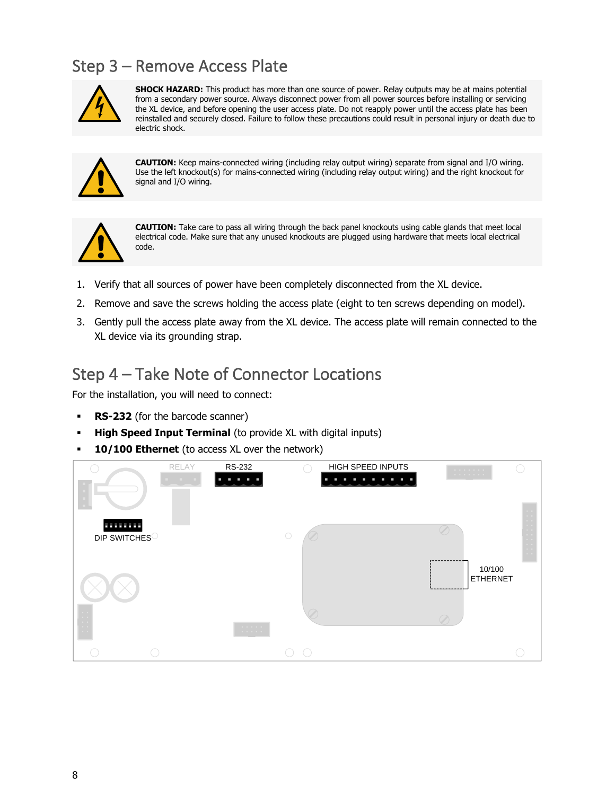## <span id="page-7-0"></span>Step 3 – Remove Access Plate



**SHOCK HAZARD:** This product has more than one source of power. Relay outputs may be at mains potential from a secondary power source. Always disconnect power from all power sources before installing or servicing the XL device, and before opening the user access plate. Do not reapply power until the access plate has been reinstalled and securely closed. Failure to follow these precautions could result in personal injury or death due to electric shock.



**CAUTION:** Keep mains-connected wiring (including relay output wiring) separate from signal and I/O wiring. Use the left knockout(s) for mains-connected wiring (including relay output wiring) and the right knockout for signal and I/O wiring.



**CAUTION:** Take care to pass all wiring through the back panel knockouts using cable glands that meet local electrical code. Make sure that any unused knockouts are plugged using hardware that meets local electrical code.

- 1. Verify that all sources of power have been completely disconnected from the XL device.
- 2. Remove and save the screws holding the access plate (eight to ten screws depending on model).
- 3. Gently pull the access plate away from the XL device. The access plate will remain connected to the XL device via its grounding strap.

### <span id="page-7-1"></span>Step 4 – Take Note of Connector Locations

For the installation, you will need to connect:

- **RS-232** (for the barcode scanner)
- **High Speed Input Terminal** (to provide XL with digital inputs)
- 10/100 Ethernet (to access XL over the network)

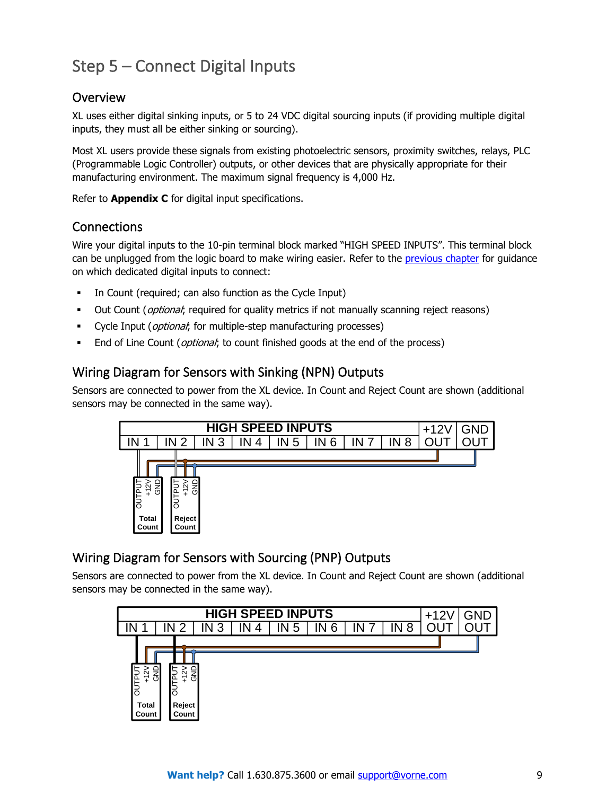## <span id="page-8-0"></span>Step 5 – Connect Digital Inputs

#### Overview

XL uses either digital sinking inputs, or 5 to 24 VDC digital sourcing inputs (if providing multiple digital inputs, they must all be either sinking or sourcing).

Most XL users provide these signals from existing photoelectric sensors, proximity switches, relays, PLC (Programmable Logic Controller) outputs, or other devices that are physically appropriate for their manufacturing environment. The maximum signal frequency is 4,000 Hz.

Refer to **Appendix C** for digital input specifications.

#### **Connections**

Wire your digital inputs to the 10-pin terminal block marked "HIGH SPEED INPUTS". This terminal block can be unplugged from the logic board to make wiring easier. Refer to the [previous chapter](#page-5-0) for guidance on which dedicated digital inputs to connect:

- In Count (required; can also function as the Cycle Input)
- **•** Out Count (*optional*; required for quality metrics if not manually scanning reject reasons)
- Cycle Input (*optional*; for multiple-step manufacturing processes)
- End of Line Count (*optional*; to count finished goods at the end of the process)

#### Wiring Diagram for Sensors with Sinking (NPN) Outputs

Sensors are connected to power from the XL device. In Count and Reject Count are shown (additional sensors may be connected in the same way).



#### Wiring Diagram for Sensors with Sourcing (PNP) Outputs

Sensors are connected to power from the XL device. In Count and Reject Count are shown (additional sensors may be connected in the same way).

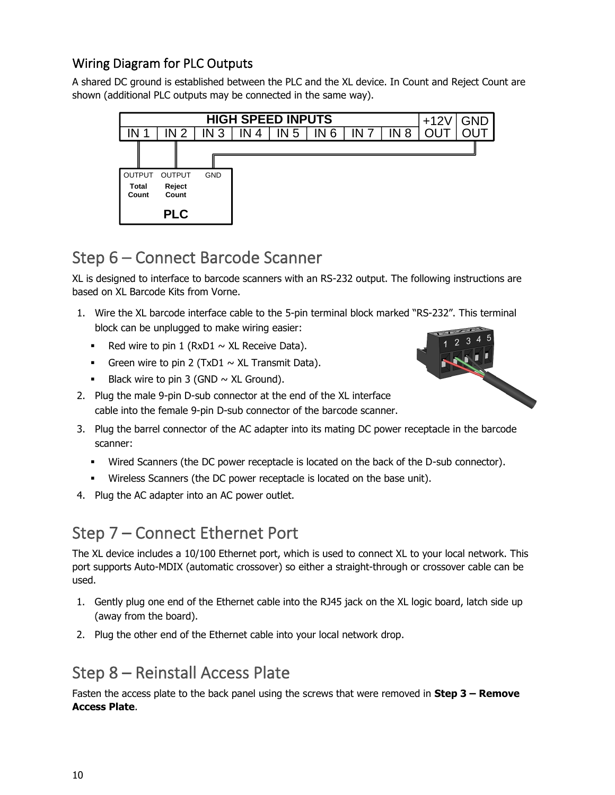#### Wiring Diagram for PLC Outputs

A shared DC ground is established between the PLC and the XL device. In Count and Reject Count are shown (additional PLC outputs may be connected in the same way).



### <span id="page-9-0"></span>Step 6 – Connect Barcode Scanner

XL is designed to interface to barcode scanners with an RS-232 output. The following instructions are based on XL Barcode Kits from Vorne.

- 1. Wire the XL barcode interface cable to the 5-pin terminal block marked "RS-232". This terminal block can be unplugged to make wiring easier:
	- **•** Red wire to pin 1 ( $RxD1 \sim XL$  Receive Data).
	- **•** Green wire to pin 2 (TxD1  $\sim$  XL Transmit Data).
	- **•** Black wire to pin 3 (GND  $\sim$  XL Ground).
- 2. Plug the male 9-pin D-sub connector at the end of the XL interface cable into the female 9-pin D-sub connector of the barcode scanner.



- Wired Scanners (the DC power receptacle is located on the back of the D-sub connector).
- Wireless Scanners (the DC power receptacle is located on the base unit).
- 4. Plug the AC adapter into an AC power outlet.

### <span id="page-9-1"></span>Step 7 – Connect Ethernet Port

The XL device includes a 10/100 Ethernet port, which is used to connect XL to your local network. This port supports Auto-MDIX (automatic crossover) so either a straight-through or crossover cable can be used.

- 1. Gently plug one end of the Ethernet cable into the RJ45 jack on the XL logic board, latch side up (away from the board).
- 2. Plug the other end of the Ethernet cable into your local network drop.

### <span id="page-9-2"></span>Step 8 – Reinstall Access Plate

Fasten the access plate to the back panel using the screws that were removed in **Step 3 – Remove Access Plate**.

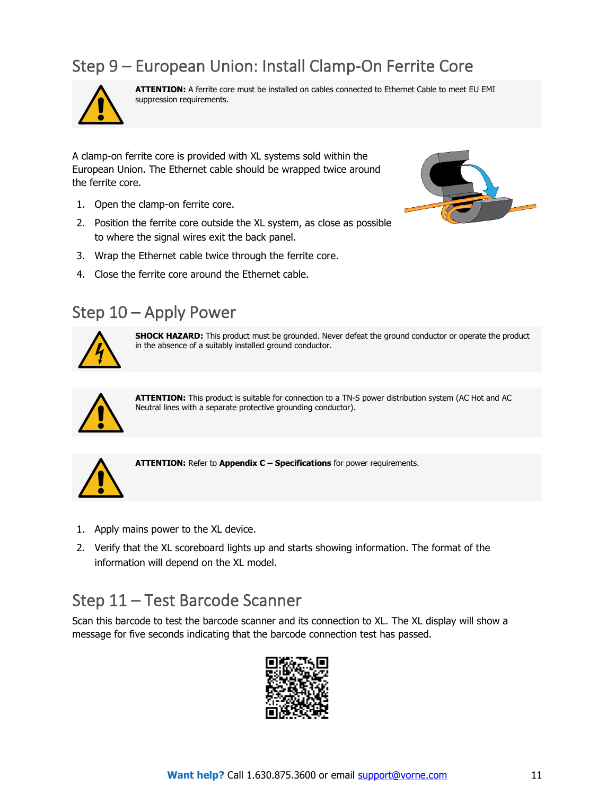## <span id="page-10-0"></span>Step 9 – European Union: Install Clamp-On Ferrite Core



**ATTENTION:** A ferrite core must be installed on cables connected to Ethernet Cable to meet EU EMI suppression requirements.

A clamp-on ferrite core is provided with XL systems sold within the European Union. The Ethernet cable should be wrapped twice around the ferrite core.

- 1. Open the clamp-on ferrite core.
- 2. Position the ferrite core outside the XL system, as close as possible to where the signal wires exit the back panel.
- 3. Wrap the Ethernet cable twice through the ferrite core.
- 4. Close the ferrite core around the Ethernet cable.

### <span id="page-10-1"></span>Step 10 – Apply Power



**SHOCK HAZARD:** This product must be grounded. Never defeat the ground conductor or operate the product in the absence of a suitably installed ground conductor.



**ATTENTION:** This product is suitable for connection to a TN-S power distribution system (AC Hot and AC Neutral lines with a separate protective grounding conductor).



**ATTENTION:** Refer to **Appendix C – Specifications** for power requirements.

- 1. Apply mains power to the XL device.
- 2. Verify that the XL scoreboard lights up and starts showing information. The format of the information will depend on the XL model.

### <span id="page-10-2"></span>Step 11 – Test Barcode Scanner

Scan this barcode to test the barcode scanner and its connection to XL. The XL display will show a message for five seconds indicating that the barcode connection test has passed.

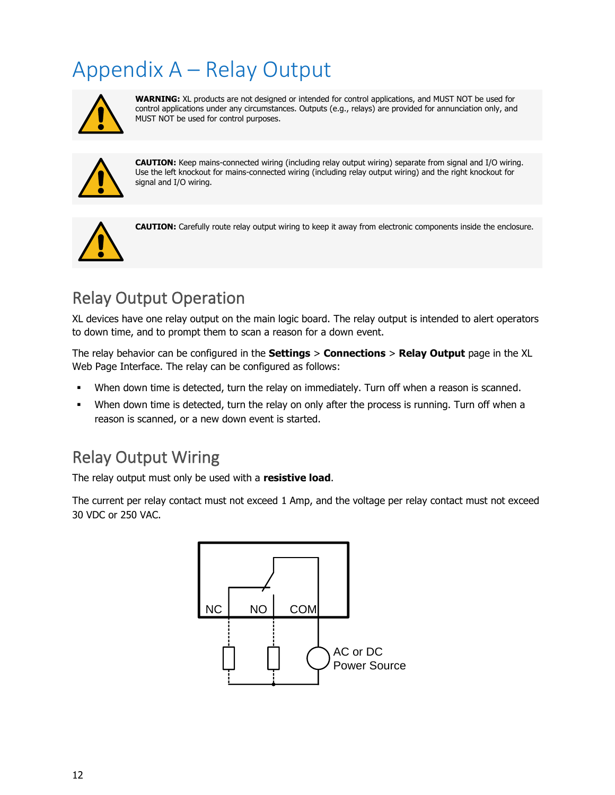# <span id="page-11-0"></span>Appendix A – Relay Output



**WARNING:** XL products are not designed or intended for control applications, and MUST NOT be used for control applications under any circumstances. Outputs (e.g., relays) are provided for annunciation only, and MUST NOT be used for control purposes.



**CAUTION:** Keep mains-connected wiring (including relay output wiring) separate from signal and I/O wiring. Use the left knockout for mains-connected wiring (including relay output wiring) and the right knockout for signal and I/O wiring.



**CAUTION:** Carefully route relay output wiring to keep it away from electronic components inside the enclosure.

## <span id="page-11-1"></span>Relay Output Operation

XL devices have one relay output on the main logic board. The relay output is intended to alert operators to down time, and to prompt them to scan a reason for a down event.

The relay behavior can be configured in the **Settings** > **Connections** > **Relay Output** page in the XL Web Page Interface. The relay can be configured as follows:

- When down time is detected, turn the relay on immediately. Turn off when a reason is scanned.
- When down time is detected, turn the relay on only after the process is running. Turn off when a reason is scanned, or a new down event is started.

### <span id="page-11-2"></span>Relay Output Wiring

The relay output must only be used with a **resistive load**.

The current per relay contact must not exceed 1 Amp, and the voltage per relay contact must not exceed 30 VDC or 250 VAC.

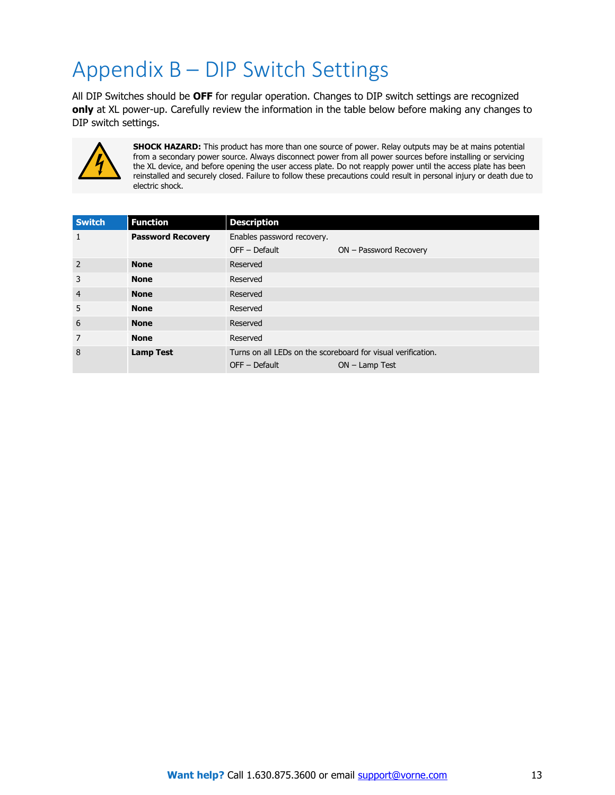# <span id="page-12-0"></span>Appendix B – DIP Switch Settings

All DIP Switches should be **OFF** for regular operation. Changes to DIP switch settings are recognized **only** at XL power-up. Carefully review the information in the table below before making any changes to DIP switch settings.



**SHOCK HAZARD:** This product has more than one source of power. Relay outputs may be at mains potential from a secondary power source. Always disconnect power from all power sources before installing or servicing the XL device, and before opening the user access plate. Do not reapply power until the access plate has been reinstalled and securely closed. Failure to follow these precautions could result in personal injury or death due to electric shock.

| <b>Switch</b>  | <b>Function</b>          | <b>Description</b>                                                                                  |                        |  |
|----------------|--------------------------|-----------------------------------------------------------------------------------------------------|------------------------|--|
| 1              | <b>Password Recovery</b> | Enables password recovery.                                                                          |                        |  |
|                |                          | OFF - Default                                                                                       | ON - Password Recovery |  |
| $\overline{2}$ | <b>None</b>              | Reserved                                                                                            |                        |  |
| 3              | <b>None</b>              | Reserved                                                                                            |                        |  |
| $\overline{4}$ | <b>None</b>              | Reserved                                                                                            |                        |  |
| 5              | <b>None</b>              | Reserved                                                                                            |                        |  |
| 6              | <b>None</b>              | Reserved                                                                                            |                        |  |
| 7              | <b>None</b>              | Reserved                                                                                            |                        |  |
| 8              | <b>Lamp Test</b>         | Turns on all LEDs on the scoreboard for visual verification.<br>$OFF - Default$<br>$ON - Lamp Test$ |                        |  |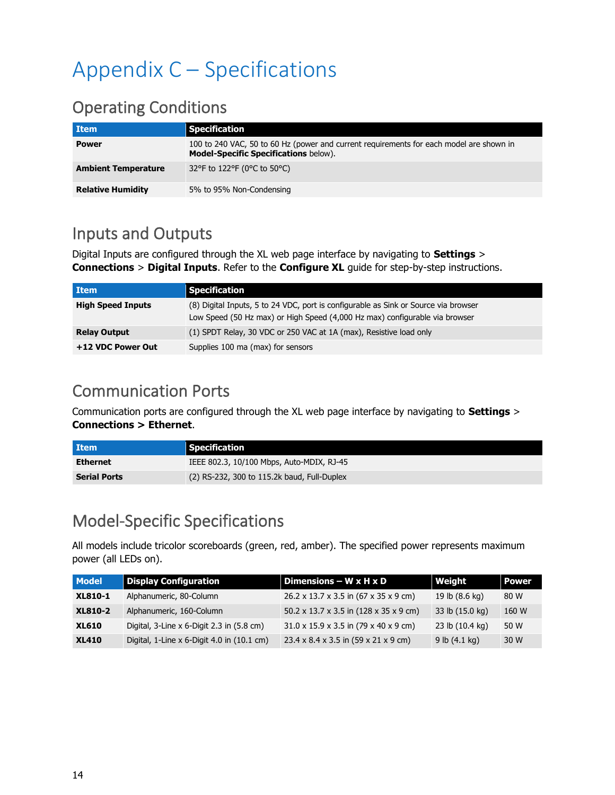# <span id="page-13-0"></span>Appendix C – Specifications

### <span id="page-13-1"></span>Operating Conditions

| <b>Item</b>                | <b>Specification</b>                                                                                                                    |
|----------------------------|-----------------------------------------------------------------------------------------------------------------------------------------|
| <b>Power</b>               | 100 to 240 VAC, 50 to 60 Hz (power and current requirements for each model are shown in<br><b>Model-Specific Specifications below).</b> |
| <b>Ambient Temperature</b> | 32°F to 122°F (0°C to 50°C)                                                                                                             |
| <b>Relative Humidity</b>   | 5% to 95% Non-Condensing                                                                                                                |

### <span id="page-13-2"></span>Inputs and Outputs

Digital Inputs are configured through the XL web page interface by navigating to **Settings** > **Connections** > **Digital Inputs**. Refer to the **Configure XL** guide for step-by-step instructions.

| <b>Item</b>              | <b>Specification</b>                                                                                                                                               |
|--------------------------|--------------------------------------------------------------------------------------------------------------------------------------------------------------------|
| <b>High Speed Inputs</b> | (8) Digital Inputs, 5 to 24 VDC, port is configurable as Sink or Source via browser<br>Low Speed (50 Hz max) or High Speed (4,000 Hz max) configurable via browser |
| <b>Relay Output</b>      | (1) SPDT Relay, 30 VDC or 250 VAC at 1A (max), Resistive load only                                                                                                 |
| +12 VDC Power Out        | Supplies 100 ma (max) for sensors                                                                                                                                  |

### <span id="page-13-3"></span>Communication Ports

Communication ports are configured through the XL web page interface by navigating to **Settings** > **Connections > Ethernet**.

| <b>Item</b>         | <b>Specification</b>                        |
|---------------------|---------------------------------------------|
| <b>Ethernet</b>     | IEEE 802.3, 10/100 Mbps, Auto-MDIX, RJ-45   |
| <b>Serial Ports</b> | (2) RS-232, 300 to 115.2k baud, Full-Duplex |

### <span id="page-13-4"></span>Model-Specific Specifications

All models include tricolor scoreboards (green, red, amber). The specified power represents maximum power (all LEDs on).

| <b>Model</b>   | <b>Display Configuration</b>                 | Dimensions $-$ W x H x D                                   | Weight                  | <b>Power</b> |
|----------------|----------------------------------------------|------------------------------------------------------------|-------------------------|--------------|
| <b>XL810-1</b> | Alphanumeric, 80-Column                      | 26.2 x 13.7 x 3.5 in (67 x 35 x 9 cm)                      | 19 lb (8.6 kg)          | 80 W         |
| <b>XL810-2</b> | Alphanumeric, 160-Column                     | 50.2 x 13.7 x 3.5 in $(128 \times 35 \times 9 \text{ cm})$ | 33 lb (15.0 kg)         | 160 W        |
| <b>XL610</b>   | Digital, 3-Line x 6-Digit 2.3 in (5.8 cm)    | $31.0 \times 15.9 \times 3.5$ in (79 x 40 x 9 cm)          | 23 lb (10.4 kg)         | 50 W         |
| <b>XL410</b>   | Digital, 1-Line $x$ 6-Digit 4.0 in (10.1 cm) | 23.4 x 8.4 x 3.5 in (59 x 21 x 9 cm)                       | 9 lb $(4.1 \text{ kg})$ | 30 W         |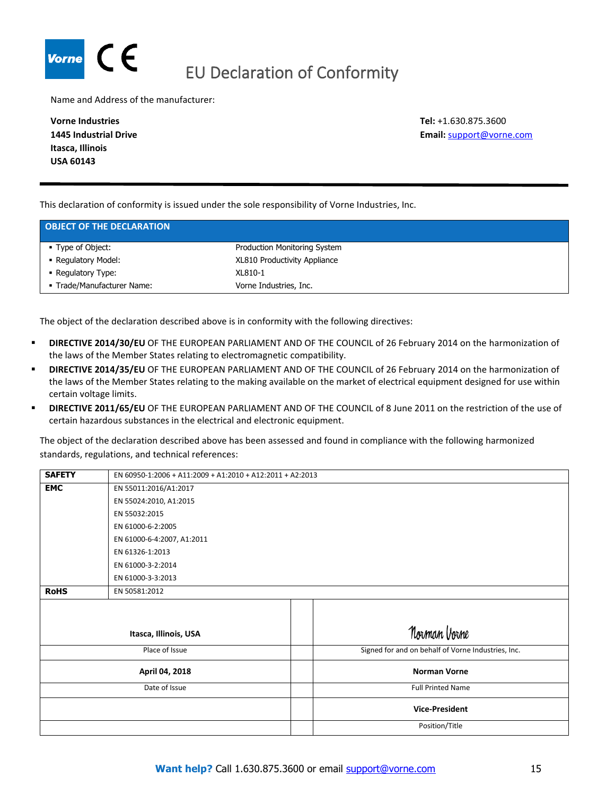<span id="page-14-0"></span>

Name and Address of the manufacturer:

**Vorne Industries 1445 Industrial Drive Itasca, Illinois USA 60143**

**Tel:** +1.630.875.3600 **Email:** [support@vorne.com](mailto:support@vorne.com)

This declaration of conformity is issued under the sole responsibility of Vorne Industries, Inc.

| <b>OBJECT OF THE DECLARATION</b> |                              |  |
|----------------------------------|------------------------------|--|
| ■ Type of Object:                | Production Monitoring System |  |
| • Regulatory Model:              | XL810 Productivity Appliance |  |
| • Regulatory Type:               | XL810-1                      |  |
| - Trade/Manufacturer Name:       | Vorne Industries, Inc.       |  |

The object of the declaration described above is in conformity with the following directives:

- **DIRECTIVE 2014/30/EU** OF THE EUROPEAN PARLIAMENT AND OF THE COUNCIL of 26 February 2014 on the harmonization of the laws of the Member States relating to electromagnetic compatibility.
- **EXECTIVE 2014/35/EU** OF THE EUROPEAN PARLIAMENT AND OF THE COUNCIL of 26 February 2014 on the harmonization of the laws of the Member States relating to the making available on the market of electrical equipment designed for use within certain voltage limits.
- **DIRECTIVE 2011/65/EU** OF THE EUROPEAN PARLIAMENT AND OF THE COUNCIL of 8 June 2011 on the restriction of the use of certain hazardous substances in the electrical and electronic equipment.

The object of the declaration described above has been assessed and found in compliance with the following harmonized standards, regulations, and technical references:

| <b>SAFETY</b>         | EN 60950-1:2006 + A11:2009 + A1:2010 + A12:2011 + A2:2013 |                                                    |  |
|-----------------------|-----------------------------------------------------------|----------------------------------------------------|--|
| <b>EMC</b>            | EN 55011:2016/A1:2017                                     |                                                    |  |
|                       | EN 55024:2010, A1:2015                                    |                                                    |  |
|                       | EN 55032:2015                                             |                                                    |  |
|                       | EN 61000-6-2:2005                                         |                                                    |  |
|                       | EN 61000-6-4:2007, A1:2011                                |                                                    |  |
|                       | EN 61326-1:2013                                           |                                                    |  |
|                       | EN 61000-3-2:2014                                         |                                                    |  |
|                       | EN 61000-3-3:2013                                         |                                                    |  |
| <b>RoHS</b>           | EN 50581:2012                                             |                                                    |  |
|                       |                                                           |                                                    |  |
|                       |                                                           | Norman Vorne                                       |  |
| Itasca, Illinois, USA |                                                           |                                                    |  |
| Place of Issue        |                                                           | Signed for and on behalf of Vorne Industries, Inc. |  |
| April 04, 2018        |                                                           | <b>Norman Vorne</b>                                |  |
| Date of Issue         |                                                           | <b>Full Printed Name</b>                           |  |
|                       |                                                           | <b>Vice-President</b>                              |  |
|                       |                                                           | Position/Title                                     |  |